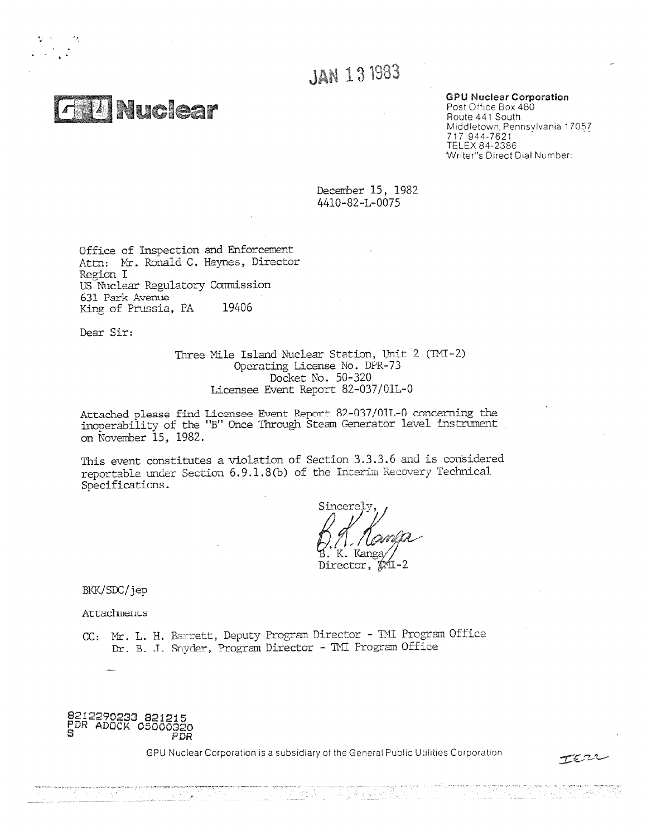**Nuclear** 

 $\frac{1}{2} \left( \frac{1}{2} \right)$ 

# **JAN 13 1983**

### **GPU Nuclear Corporation**

Post Office Box 480 Route 441 South Middletown, Pennsylvania 17057 717 944-7621 TELEX 84-2386 Writer's Direct Dial Number:

December 15, 1982 4410-82-L-0075

Office of Inspection and Enforcement Attn: Mr. Ronald C. Haynes, Director Region I US Nuclear Regulatory Commission 631 Park Avenue King of Prussia, PA 19406

Dear Sir:

Three Mile Island Nuclear Station, Unit 2 (TMI-2) Operating License No. DPR-73 Docket No. 50-320 Licensee Event Report 82-037/01L-0

Attached please find Licensee Event Report 82-037/01L-0 concerning the inoperability of the "B" Once Through Steam Generator level instrument on November 15, 1982.

This event constitutes a violation of Section 3.3.3.6 and is considered reportable under Section 6.9.1.8(b) of the Interim Recovery Technical Specifications.

Sincerel K. Kanga Director,

BKK/SDC/jep

Attachments

CC: Mr. L. H. Barrett, Deputy Program Director - TMI Program Office Dr. B. J. Snyder, Program Director - TMI Program Office

**8212290233 021215** PDR ADOCK 05000320 PDR

 $\sim 30\pm 0.01$  keV

GPU Nuclear Corporation is a subsidiary of the General Public Utilities Corporation

orijska <u>pri</u>lodi

terr

born filmeri boskriftir at d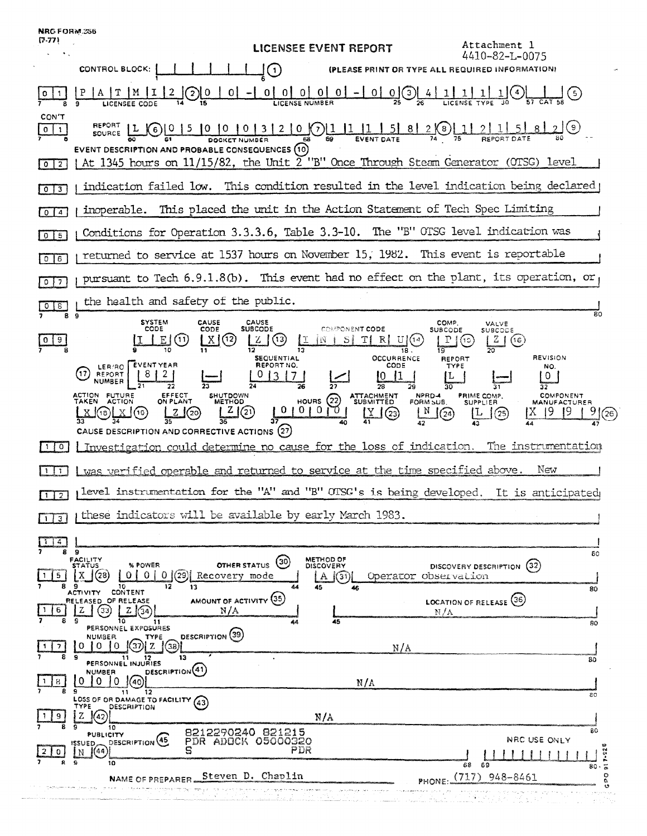| <b>NRG FORM.256</b><br>(7.77)           | Attachment 1<br>LICENSEE EVENT REPORT                                                                                                                                                                                                                                                                                                                                                                                                                                                                                                                                                                                                                                                                                                                                                             |
|-----------------------------------------|---------------------------------------------------------------------------------------------------------------------------------------------------------------------------------------------------------------------------------------------------------------------------------------------------------------------------------------------------------------------------------------------------------------------------------------------------------------------------------------------------------------------------------------------------------------------------------------------------------------------------------------------------------------------------------------------------------------------------------------------------------------------------------------------------|
|                                         | 4410-82-L-0075<br>CONTROL BLOCK:<br>(PLEASE PRINT OR TYPE ALL REQUIRED INFORMATION)<br>〔1〕                                                                                                                                                                                                                                                                                                                                                                                                                                                                                                                                                                                                                                                                                                        |
|                                         | $[0]$ $[0]$ $[0]$ $[0]$ $[0]$ $ [0]$ $[0]$ $[0]$<br>0<br>01<br>$\left(5\right)$<br>$\overline{2}$<br><b>LICENSE NUMBER</b><br>LICENSEE CODE                                                                                                                                                                                                                                                                                                                                                                                                                                                                                                                                                                                                                                                       |
| CON'T<br>$0 \mid 1$<br> 0 2             | $(7)$ [1  1<br>$\mathbf{0}$<br>2<br>8<br>Ķб<br><b>SOURCE</b><br>69<br><b>EVENT DATE</b><br><b>REPORT DATE</b><br><b>EVENT DESCRIPTION AND PROBABLE CONSEQUENCES (10)</b><br>At 1345 hours on 11/15/82, the Unit 2 "B" Once Through Steam Generator (OTSG) level                                                                                                                                                                                                                                                                                                                                                                                                                                                                                                                                   |
| $0 \mid 3$                              | indication failed low. This condition resulted in the level indication being declared                                                                                                                                                                                                                                                                                                                                                                                                                                                                                                                                                                                                                                                                                                             |
| $\overline{\mathbf{A}}$<br>$\mathbf{o}$ | inoperable. This placed the unit in the Action Statement of Tech Spec Limiting                                                                                                                                                                                                                                                                                                                                                                                                                                                                                                                                                                                                                                                                                                                    |
| $0$   $5$                               | Conditions for Operation 3.3.3.6, Table 3.3-10. The "B" OTSG level indication was                                                                                                                                                                                                                                                                                                                                                                                                                                                                                                                                                                                                                                                                                                                 |
| $0$ $6$                                 | returned to service at 1537 hours on November 15, 1982. This event is reportable                                                                                                                                                                                                                                                                                                                                                                                                                                                                                                                                                                                                                                                                                                                  |
| $\overline{7}$<br>$\circ$ 1             | pursuant to Tech 6.9.1.8(b). This event had no effect on the plant, its operation, or                                                                                                                                                                                                                                                                                                                                                                                                                                                                                                                                                                                                                                                                                                             |
| 8                                       | the health and safety of the public.                                                                                                                                                                                                                                                                                                                                                                                                                                                                                                                                                                                                                                                                                                                                                              |
| 8<br>-9<br>$\cdot$ 0 $\cdot$            | 80<br>9<br><b>SYSTEM</b><br>CAUSE<br>CAUSE<br>COMP.<br>VALVE<br><b>SUBCODE</b><br>COMPONENT CODE<br>CODE<br>CODE<br>SUBCODE<br>SUBCODE<br>TI RI<br>E<br>(11<br>12<br>(13)<br>SI<br>-U l<br>z.<br>X.<br>(16)<br>(15<br>19<br>18<br><b>REVISION</b><br><b>OCCURRENCE</b><br><b>SEQUENTIAL</b><br>REPORT<br>EVENT YEAR<br><b>REPORT NO.</b><br>CODE<br>TYPE<br>LER/RO<br>NO.<br>(17<br>$\mathbf{2}^-$<br><b>REPORT</b><br>Ü<br><b>NUMBER</b><br>26<br>28<br>29<br>30<br>ACTION FUTURE<br>TAKEN ACTION<br>EFFECT<br>PRIME COMP.<br>COMPONENT<br><b>SHUTDOWN</b><br>ATTACHMENT<br>SUBMITTED<br>NPRD-4<br>HOURS $(22)$<br>ON PLANT<br>FORM SUB.<br><b>METHOD</b><br><b>SUPPLIER</b><br>MANUFACTURER<br>0101<br>01<br>(21<br>(20)<br>$\int (24)$<br>$\frac{9}{2}$ (26)<br>[(18<br>(23)<br>$^{(25)}$<br>A |
| $\circ$                                 | CAUSE DESCRIPTION AND CORRECTIVE ACTIONS (27)<br>Investigation could determine no cause for the loss of indication. The instrumentation                                                                                                                                                                                                                                                                                                                                                                                                                                                                                                                                                                                                                                                           |
| 1                                       | <u>I was verified operable and returned to service at the time specified above.</u><br>New                                                                                                                                                                                                                                                                                                                                                                                                                                                                                                                                                                                                                                                                                                        |
| 1 <sup>2</sup>                          | level instrumentation for the "A" and "B" OTSG's is being developed. It is anticipated                                                                                                                                                                                                                                                                                                                                                                                                                                                                                                                                                                                                                                                                                                            |
|                                         | these indicators will be available by early March 1983.                                                                                                                                                                                                                                                                                                                                                                                                                                                                                                                                                                                                                                                                                                                                           |
| a<br>8.                                 | - 9                                                                                                                                                                                                                                                                                                                                                                                                                                                                                                                                                                                                                                                                                                                                                                                               |
| 5                                       | 80<br>METHOD OF<br>FACILITY<br>(30)<br><b>OTHER STATUS</b><br>% POWER<br>DISCOVERY<br>(32)<br><b>STATUS</b><br>DISCOVERY DESCRIPTION<br>$0   0  $ (29) Recovery mode<br>Operator observation<br>$\mathbf{A}$<br>31 )<br>12 <sup>2</sup><br>10<br>13<br>45<br>80                                                                                                                                                                                                                                                                                                                                                                                                                                                                                                                                   |
| 6                                       | ACTIVITY CONTENT<br>AMOUNT OF ACTIVITY (35)<br>LOCATION OF RELEASE (36)<br>RELEASED OF RELEASE<br>z<br>'33)<br>Z.<br>[(34)]<br>N/A<br>N/A<br>10.<br>45<br>11<br>64<br>80                                                                                                                                                                                                                                                                                                                                                                                                                                                                                                                                                                                                                          |
|                                         | PERSONNEL EXPOSURES<br>DESCRIPTION <sup>(39)</sup><br>TYPE<br><b>NUMBER</b><br>0<br>38.<br>N/A                                                                                                                                                                                                                                                                                                                                                                                                                                                                                                                                                                                                                                                                                                    |
| 8.                                      | 9<br>13<br>12<br>80<br>PERSONNEL INJURIES<br>DESCRIPTION <sup>(41)</sup><br><b>NUMBER</b><br>0<br>$\Omega$<br>N/A<br>'40.                                                                                                                                                                                                                                                                                                                                                                                                                                                                                                                                                                                                                                                                         |
|                                         | 9<br>11.<br>- 12<br>80<br>LOSS OF OR DAMAGE TO FACILITY<br>(43<br>TYPE<br>DESCRIPTION                                                                                                                                                                                                                                                                                                                                                                                                                                                                                                                                                                                                                                                                                                             |
|                                         | N/A<br>10<br>80                                                                                                                                                                                                                                                                                                                                                                                                                                                                                                                                                                                                                                                                                                                                                                                   |
|                                         | 8212290240 821215<br>PUBLICITY<br>NRC USE ONLY<br>DESCRIPTION <sup>(45)</sup><br>PDR ADOCK 05000320<br><b>ISSUED</b><br>PDR<br>[(44)]<br>N<br>G<br>10<br>68<br>69<br>$80 -$                                                                                                                                                                                                                                                                                                                                                                                                                                                                                                                                                                                                                       |
|                                         | $\tilde{\circ}$<br>$\circ$<br>Steven D. Chaplin<br>$(717)$ 948-8461<br>NAME OF PREPARER<br>PHONE<br>o<br>Ó                                                                                                                                                                                                                                                                                                                                                                                                                                                                                                                                                                                                                                                                                        |
|                                         |                                                                                                                                                                                                                                                                                                                                                                                                                                                                                                                                                                                                                                                                                                                                                                                                   |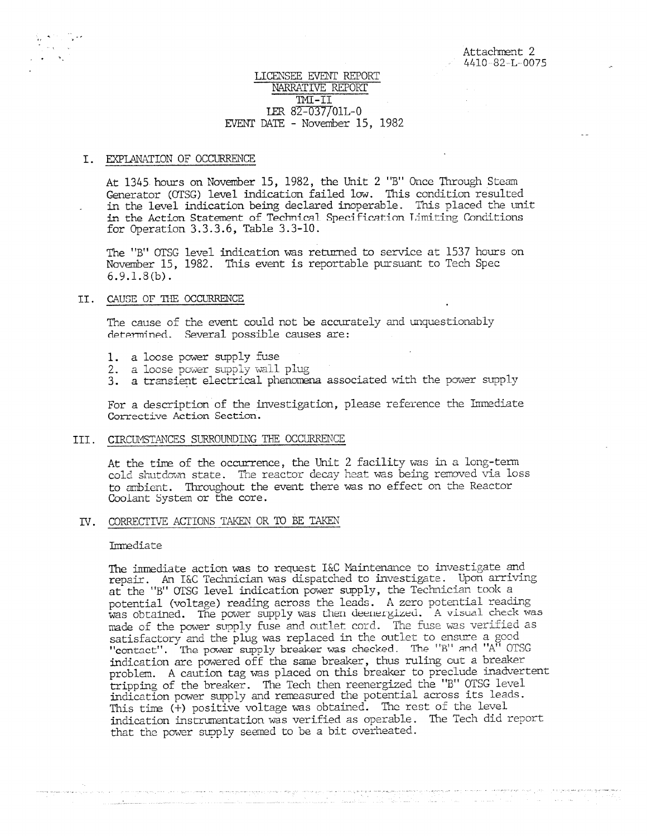# LICENSEE EVENT REPORT NARRATIVE REPORT LER 82-037/01L-0 EVENT DATE - November 15, 1982

#### I. EXPLANATION OF OCCURRENCE

At 1345 hours on November 15, 1982, the Unit 2 "B" Once Through Steam Generator (OTSG) level indication failed low. This condition resulted in the level indication being declared inoperable. This placed the unit in the Action Statement of Technical Specification Limiting Conditions for Operation 3.3.3.6, Table 3.3-10.

The "B" OTSG level indication was returned to service at 1537 hours on November 15, 1982. This event is reportable pursuant to Tech Spec 6.9.1.8(b).

#### II. CAUSE OF THE OCCURRENCE

The cause of the event could not be accurately and unquestionably determined. Several possible causes are:

- 1. a loose power supply fuse
- 2. a loose power supply wall plug
- 3. a transient electrical phenomena associated with the power supply

For a description of the investigation, please reference the Immediate Corrective Action Section.

## III. CIRCUMSTANCES SURROUNDING THE OCCURRENCE

At the time of the occurrence, the Unit 2 facility was in a long-term cold shutdown state. The reactor decay heat was being removed via loss to ambient. Throughout the event there was no effect on the Reactor Coolant System or the core.

#### IV. CORRECTIVE ACTIONS TAKEN OR TO BE TAKEN

# Immediate

The immediate action was to request I&C Maintenance to investigate and repair. An I&C Technician was dispatched to investigate. Upon arriving at the "B" OTSG level indication power supply, the Technician took a potential (voltage) reading across the leads. A zero potential reading was obtained. The power supply was then deenergized. A visual check was made of the power supply fuse and outlet cord. The fuse was verified as satisfactory and the plug was replaced in the outlet to ensure a good "contact". The power supply breaker was checked. The "B" and "A" OTSG indication are powered off the same breaker, thus ruling out a breaker problem. A caution tag was placed on this breaker to preclude inadvertent tripping of the breaker. The Tech then reenergized the "B" OTSG level indication power supply and reaeasured the potential across its leads. This time (+) positive voltage was obtained. The rest of the level indication instrurentation was verified as operable. The Tech did report that the power supply seemed to be a bit overheated.

we can accept the second in appropriate that they are possible in coloridation making project on the first final straight of a straight of

والمالي والمستحدث والمستحدث المستحدث المتحدث فأقلب والاقتبار المتعاونة والمتأول والمتناول والمتناول والمستحدث والمتناولين